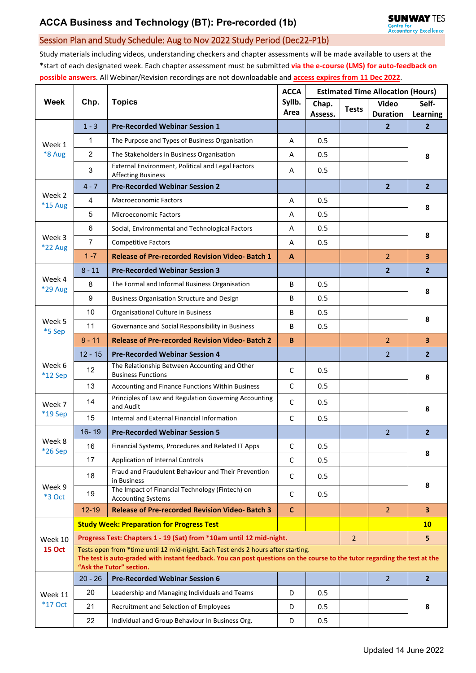## Session Plan and Study Schedule: Aug to Nov 2022 Study Period (Dec22-P1b)

Study materials including videos, understanding checkers and chapter assessments will be made available to users at the \*start of each designated week. Each chapter assessment must be submitted **via the e-course (LMS) for auto-feedback on possible answers**. All Webinar/Revision recordings are not downloadable and **access expires from 11 Dec 2022**.

| <b>Week</b>               | Chp.                                                                                                                                                                                                                                       | <b>Topics</b>                                                                  | <b>ACCA</b><br>Syllb.<br>Area | <b>Estimated Time Allocation (Hours)</b> |              |                                 |                         |  |  |  |
|---------------------------|--------------------------------------------------------------------------------------------------------------------------------------------------------------------------------------------------------------------------------------------|--------------------------------------------------------------------------------|-------------------------------|------------------------------------------|--------------|---------------------------------|-------------------------|--|--|--|
|                           |                                                                                                                                                                                                                                            |                                                                                |                               | Chap.<br>Assess.                         | <b>Tests</b> | <b>Video</b><br><b>Duration</b> | Self-<br>Learning       |  |  |  |
| Week 1<br>*8 Aug          | $1 - 3$                                                                                                                                                                                                                                    | <b>Pre-Recorded Webinar Session 1</b>                                          |                               |                                          |              | $\mathbf{2}$                    | $\overline{2}$          |  |  |  |
|                           | 1                                                                                                                                                                                                                                          | The Purpose and Types of Business Organisation                                 | A                             | 0.5                                      |              |                                 | 8                       |  |  |  |
|                           | $\overline{2}$                                                                                                                                                                                                                             | The Stakeholders in Business Organisation                                      | A                             | 0.5                                      |              |                                 |                         |  |  |  |
|                           | 3                                                                                                                                                                                                                                          | External Environment, Political and Legal Factors<br><b>Affecting Business</b> | Α                             | 0.5                                      |              |                                 |                         |  |  |  |
| Week 2<br>*15 Aug         | $4 - 7$                                                                                                                                                                                                                                    | <b>Pre-Recorded Webinar Session 2</b>                                          |                               |                                          |              | $\mathbf{2}$                    | $\overline{2}$          |  |  |  |
|                           | 4                                                                                                                                                                                                                                          | <b>Macroeconomic Factors</b>                                                   | A                             | 0.5                                      |              |                                 | 8                       |  |  |  |
|                           | 5                                                                                                                                                                                                                                          | <b>Microeconomic Factors</b>                                                   | A                             | 0.5                                      |              |                                 |                         |  |  |  |
| Week 3<br>*22 Aug         | 6                                                                                                                                                                                                                                          | Social, Environmental and Technological Factors                                | A                             | 0.5                                      |              |                                 | 8                       |  |  |  |
|                           | $\overline{7}$                                                                                                                                                                                                                             | <b>Competitive Factors</b>                                                     | A                             | 0.5                                      |              |                                 |                         |  |  |  |
|                           | $1 - 7$                                                                                                                                                                                                                                    | <b>Release of Pre-recorded Revision Video-Batch 1</b>                          | A                             |                                          |              | $\overline{2}$                  | $\overline{\mathbf{3}}$ |  |  |  |
| Week 4<br>*29 Aug         | $8 - 11$                                                                                                                                                                                                                                   | <b>Pre-Recorded Webinar Session 3</b>                                          |                               |                                          |              | $\overline{2}$                  | $\overline{2}$          |  |  |  |
|                           | 8                                                                                                                                                                                                                                          | The Formal and Informal Business Organisation                                  | B                             | 0.5                                      |              |                                 | 8                       |  |  |  |
|                           | 9                                                                                                                                                                                                                                          | <b>Business Organisation Structure and Design</b>                              | B                             | 0.5                                      |              |                                 |                         |  |  |  |
|                           | 10                                                                                                                                                                                                                                         | Organisational Culture in Business                                             | B                             | 0.5                                      |              |                                 | 8                       |  |  |  |
| Week 5<br>*5 Sep          | 11                                                                                                                                                                                                                                         | Governance and Social Responsibility in Business                               | B                             | 0.5                                      |              |                                 |                         |  |  |  |
|                           | $8 - 11$                                                                                                                                                                                                                                   | <b>Release of Pre-recorded Revision Video-Batch 2</b>                          | B                             |                                          |              | $\overline{2}$                  | $\overline{\mathbf{3}}$ |  |  |  |
| Week 6<br>*12 Sep         | $12 - 15$                                                                                                                                                                                                                                  | <b>Pre-Recorded Webinar Session 4</b>                                          |                               |                                          |              | $\overline{2}$                  | $\overline{2}$          |  |  |  |
|                           | 12                                                                                                                                                                                                                                         | The Relationship Between Accounting and Other<br><b>Business Functions</b>     | C                             | 0.5                                      |              |                                 | 8                       |  |  |  |
|                           | 13                                                                                                                                                                                                                                         | Accounting and Finance Functions Within Business                               | C                             | 0.5                                      |              |                                 |                         |  |  |  |
| Week 7                    | 14                                                                                                                                                                                                                                         | Principles of Law and Regulation Governing Accounting<br>and Audit             | $\mathsf C$                   | 0.5                                      |              |                                 | 8                       |  |  |  |
| *19 Sep                   | 15                                                                                                                                                                                                                                         | Internal and External Financial Information                                    | C                             | 0.5                                      |              |                                 |                         |  |  |  |
|                           | $16 - 19$                                                                                                                                                                                                                                  | <b>Pre-Recorded Webinar Session 5</b>                                          |                               |                                          |              | $\overline{2}$                  | $\overline{2}$          |  |  |  |
| Week 8<br>*26 Sep         | 16                                                                                                                                                                                                                                         | Financial Systems, Procedures and Related IT Apps                              | $\mathsf{C}$                  | 0.5                                      |              |                                 | 8                       |  |  |  |
|                           | 17                                                                                                                                                                                                                                         | <b>Application of Internal Controls</b>                                        | C                             | 0.5                                      |              |                                 |                         |  |  |  |
| Week 9<br><b>*3 Oct</b>   | 18                                                                                                                                                                                                                                         | Fraud and Fraudulent Behaviour and Their Prevention<br>in Business             | C                             | 0.5                                      |              |                                 | 8                       |  |  |  |
|                           | 19                                                                                                                                                                                                                                         | The Impact of Financial Technology (Fintech) on<br><b>Accounting Systems</b>   | C                             | 0.5                                      |              |                                 |                         |  |  |  |
|                           | $12 - 19$                                                                                                                                                                                                                                  | <b>Release of Pre-recorded Revision Video-Batch 3</b>                          | $\mathsf{C}$                  |                                          |              | $\overline{2}$                  | 3 <sup>2</sup>          |  |  |  |
|                           |                                                                                                                                                                                                                                            | <b>Study Week: Preparation for Progress Test</b>                               |                               |                                          |              |                                 | 10 <sub>1</sub>         |  |  |  |
| Week 10                   | Progress Test: Chapters 1 - 19 (Sat) from *10am until 12 mid-night.<br>$\overline{2}$                                                                                                                                                      |                                                                                |                               |                                          |              |                                 |                         |  |  |  |
| <b>15 Oct</b>             | Tests open from *time until 12 mid-night. Each Test ends 2 hours after starting.<br>The test is auto-graded with instant feedback. You can post questions on the course to the tutor regarding the test at the<br>"Ask the Tutor" section. |                                                                                |                               |                                          |              |                                 |                         |  |  |  |
| Week 11<br><b>*17 Oct</b> | $20 - 26$                                                                                                                                                                                                                                  | <b>Pre-Recorded Webinar Session 6</b>                                          |                               |                                          |              | $\overline{2}$                  | $\overline{2}$          |  |  |  |
|                           | 20                                                                                                                                                                                                                                         | Leadership and Managing Individuals and Teams                                  | D                             | 0.5                                      |              |                                 | 8                       |  |  |  |
|                           | 21                                                                                                                                                                                                                                         | Recruitment and Selection of Employees                                         | D                             | 0.5                                      |              |                                 |                         |  |  |  |
|                           | 22                                                                                                                                                                                                                                         | Individual and Group Behaviour In Business Org.                                | D                             | 0.5                                      |              |                                 |                         |  |  |  |